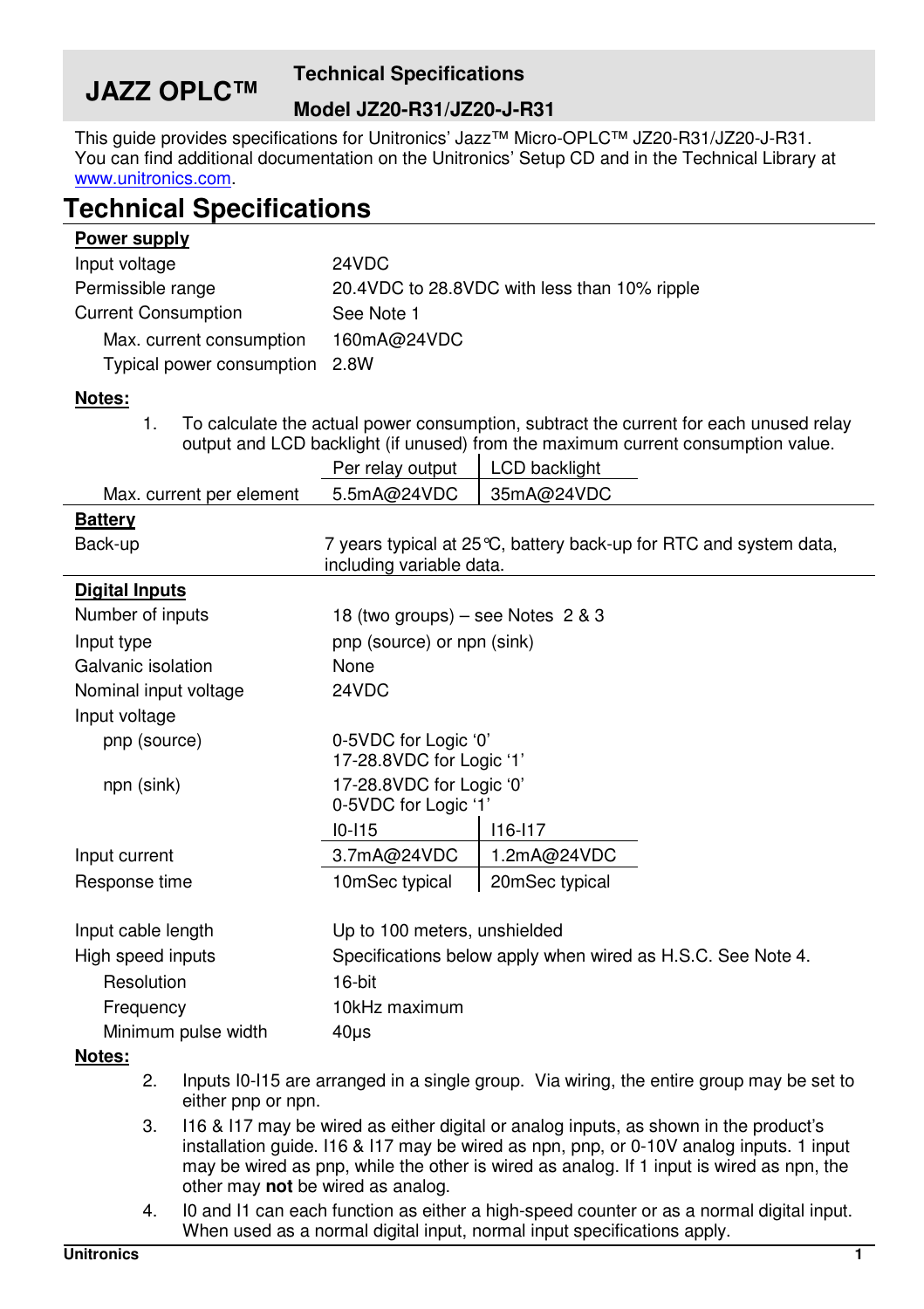# **JAZZ OPLC™**

## **Technical Specifications**

### **Model JZ20-R31/JZ20-J-R31**

This guide provides specifications for Unitronics' Jazz™ Micro-OPLC™ JZ20-R31/JZ20-J-R31. You can find additional documentation on the Unitronics' Setup CD and in the Technical Library at www.unitronics.com.

## **Technical Specifications**

| Power supply                   |                                              |
|--------------------------------|----------------------------------------------|
| Input voltage                  | 24VDC                                        |
| Permissible range              | 20.4VDC to 28.8VDC with less than 10% ripple |
| <b>Current Consumption</b>     | See Note 1                                   |
| Max. current consumption       | 160mA@24VDC                                  |
| Typical power consumption 2.8W |                                              |

### **Notes:**

1. To calculate the actual power consumption, subtract the current for each unused relay output and LCD backlight (if unused) from the maximum current consumption value.

|                          | Per relay output                                                                               | LCD backlight  |  |
|--------------------------|------------------------------------------------------------------------------------------------|----------------|--|
| Max. current per element | 5.5mA@24VDC                                                                                    | 35mA@24VDC     |  |
| <b>Battery</b>           |                                                                                                |                |  |
| Back-up                  | 7 years typical at 25 °C, battery back-up for RTC and system data,<br>including variable data. |                |  |
| <b>Digital Inputs</b>    |                                                                                                |                |  |
| Number of inputs         | 18 (two groups) – see Notes $2 & 3$                                                            |                |  |
| Input type               | pnp (source) or npn (sink)                                                                     |                |  |
| Galvanic isolation       | None                                                                                           |                |  |
| Nominal input voltage    | 24VDC                                                                                          |                |  |
| Input voltage            |                                                                                                |                |  |
| pnp (source)             | 0-5VDC for Logic '0'<br>17-28.8VDC for Logic '1'                                               |                |  |
| npn (sink)               | 17-28.8VDC for Logic '0'<br>0-5VDC for Logic '1'                                               |                |  |
|                          | $10 - 115$                                                                                     | $116 - 117$    |  |
| Input current            | 3.7mA@24VDC                                                                                    | 1.2mA@24VDC    |  |
| Response time            | 10mSec typical                                                                                 | 20mSec typical |  |
| Input cable length       | Up to 100 meters, unshielded                                                                   |                |  |
| High speed inputs        | Specifications below apply when wired as H.S.C. See Note 4.                                    |                |  |
| Resolution               | 16-bit                                                                                         |                |  |
| Frequency                | 10kHz maximum                                                                                  |                |  |
| Minimum pulse width      | $40\mu$ s                                                                                      |                |  |

#### **Notes:**

- 2. Inputs I0-I15 are arranged in a single group. Via wiring, the entire group may be set to either pnp or npn.
- 3. I16 & I17 may be wired as either digital or analog inputs, as shown in the product's installation guide. I16 & I17 may be wired as npn, pnp, or 0-10V analog inputs. 1 input may be wired as pnp, while the other is wired as analog. If 1 input is wired as npn, the other may **not** be wired as analog.
- 4. I0 and I1 can each function as either a high-speed counter or as a normal digital input. When used as a normal digital input, normal input specifications apply.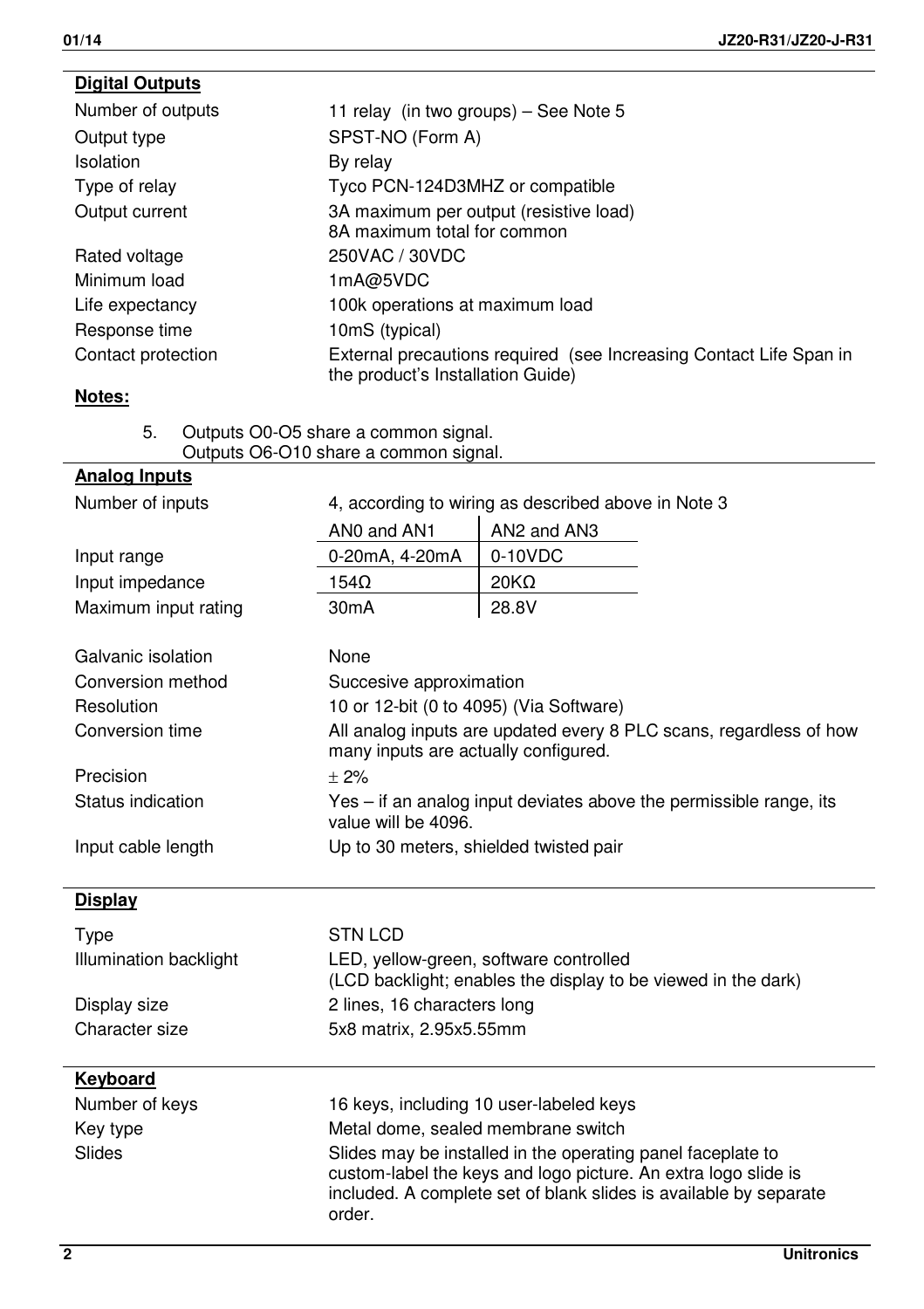| <b>Digital Outputs</b> |                                                                                                         |
|------------------------|---------------------------------------------------------------------------------------------------------|
| Number of outputs      | 11 relay (in two groups) – See Note 5                                                                   |
| Output type            | SPST-NO (Form A)                                                                                        |
| Isolation              | By relay                                                                                                |
| Type of relay          | Tyco PCN-124D3MHZ or compatible                                                                         |
| Output current         | 3A maximum per output (resistive load)<br>8A maximum total for common                                   |
| Rated voltage          | 250VAC / 30VDC                                                                                          |
| Minimum load           | 1mA@5VDC                                                                                                |
| Life expectancy        | 100k operations at maximum load                                                                         |
| Response time          | 10mS (typical)                                                                                          |
| Contact protection     | External precautions required (see Increasing Contact Life Span in<br>the product's Installation Guide) |
| Notes:                 |                                                                                                         |
| 5.                     | Outputs O0-O5 share a common signal.<br>Outputs O6-O10 share a common signal.                           |
| <b>Analog Inputs</b>   |                                                                                                         |
| Number of inputs       | 4 according to wiring as described above in Note 3                                                      |

| טוטעו וויט ווערווא     | $\tau$ , according to willing as acsomed above in role o |                                                                                                                                                                                                    |  |
|------------------------|----------------------------------------------------------|----------------------------------------------------------------------------------------------------------------------------------------------------------------------------------------------------|--|
|                        | ANO and AN1                                              | AN2 and AN3                                                                                                                                                                                        |  |
| Input range            | 0-20mA, 4-20mA                                           | $0-10VDC$                                                                                                                                                                                          |  |
| Input impedance        | $154\Omega$                                              | $20K\Omega$                                                                                                                                                                                        |  |
| Maximum input rating   | 30mA                                                     | 28.8V                                                                                                                                                                                              |  |
|                        |                                                          |                                                                                                                                                                                                    |  |
| Galvanic isolation     | None                                                     |                                                                                                                                                                                                    |  |
| Conversion method      |                                                          | Succesive approximation                                                                                                                                                                            |  |
| Resolution             | 10 or 12-bit (0 to 4095) (Via Software)                  |                                                                                                                                                                                                    |  |
| Conversion time        | many inputs are actually configured.                     | All analog inputs are updated every 8 PLC scans, regardless of how                                                                                                                                 |  |
| Precision              | $+2%$                                                    |                                                                                                                                                                                                    |  |
| Status indication      | value will be 4096.                                      | Yes – if an analog input deviates above the permissible range, its                                                                                                                                 |  |
| Input cable length     |                                                          | Up to 30 meters, shielded twisted pair                                                                                                                                                             |  |
|                        |                                                          |                                                                                                                                                                                                    |  |
| Display                |                                                          |                                                                                                                                                                                                    |  |
| Type                   | <b>STN LCD</b>                                           |                                                                                                                                                                                                    |  |
| Illumination backlight |                                                          | LED, yellow-green, software controlled<br>(LCD backlight; enables the display to be viewed in the dark)                                                                                            |  |
| Display size           | 2 lines, 16 characters long                              |                                                                                                                                                                                                    |  |
| Character size         | 5x8 matrix, 2.95x5.55mm                                  |                                                                                                                                                                                                    |  |
| Keyboard               |                                                          |                                                                                                                                                                                                    |  |
| Number of keys         |                                                          | 16 keys, including 10 user-labeled keys                                                                                                                                                            |  |
| Key type               | Metal dome, sealed membrane switch                       |                                                                                                                                                                                                    |  |
| Slides                 | order.                                                   | Slides may be installed in the operating panel faceplate to<br>custom-label the keys and logo picture. An extra logo slide is<br>included. A complete set of blank slides is available by separate |  |
|                        |                                                          |                                                                                                                                                                                                    |  |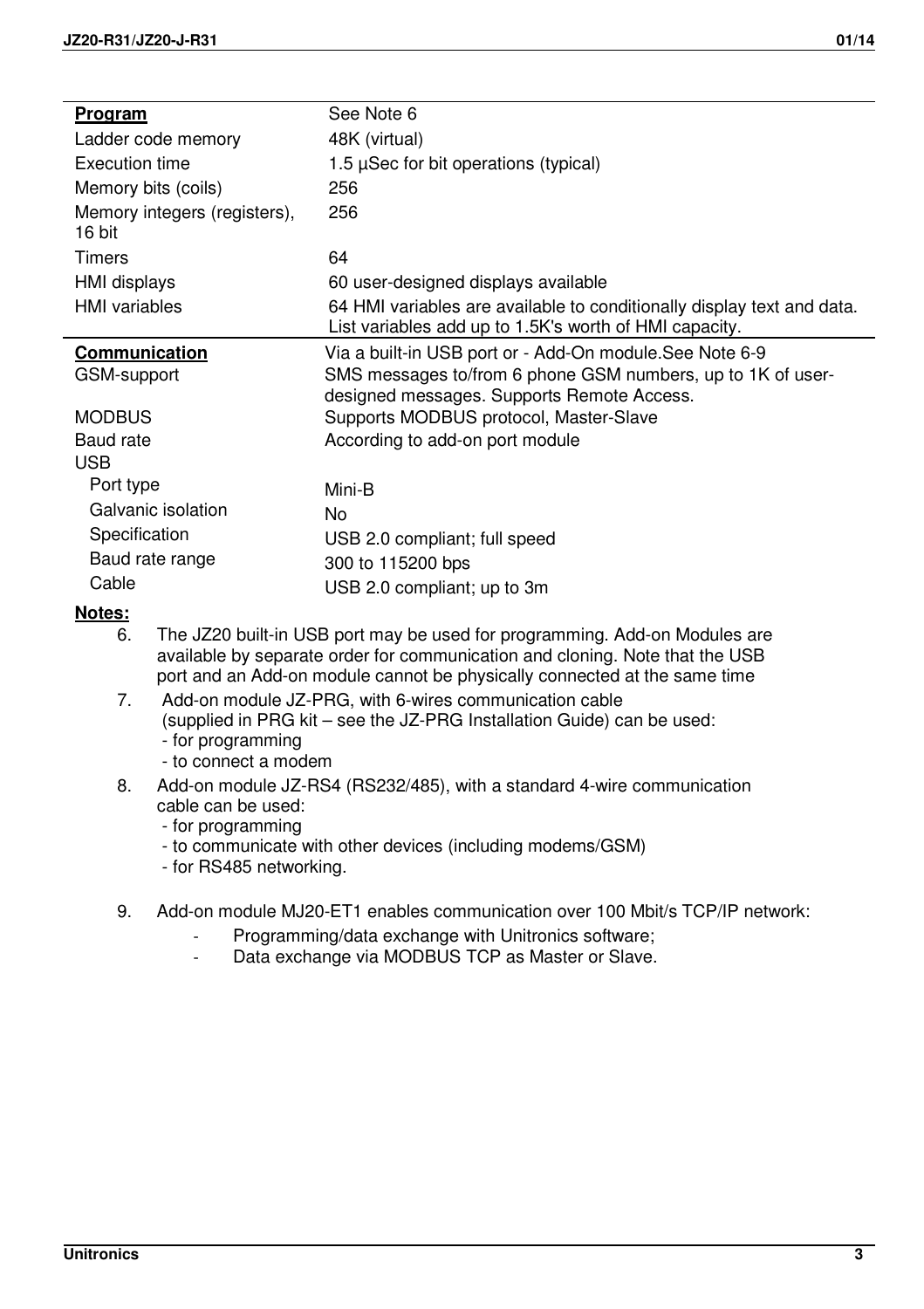| Program                                | See Note 6                                                                                                                       |
|----------------------------------------|----------------------------------------------------------------------------------------------------------------------------------|
| Ladder code memory                     | 48K (virtual)                                                                                                                    |
| Execution time                         | 1.5 $\mu$ Sec for bit operations (typical)                                                                                       |
| Memory bits (coils)                    | 256                                                                                                                              |
| Memory integers (registers),<br>16 bit | 256                                                                                                                              |
| Timers                                 | 64                                                                                                                               |
| HMI displays                           | 60 user-designed displays available                                                                                              |
| <b>HMI</b> variables                   | 64 HMI variables are available to conditionally display text and data.<br>List variables add up to 1.5K's worth of HMI capacity. |
| Communication                          | Via a built-in USB port or - Add-On module.See Note 6-9                                                                          |
| GSM-support                            | SMS messages to/from 6 phone GSM numbers, up to 1K of user-<br>designed messages. Supports Remote Access.                        |
| <b>MODBUS</b>                          | Supports MODBUS protocol, Master-Slave                                                                                           |
| Baud rate                              | According to add-on port module                                                                                                  |
| <b>USB</b>                             |                                                                                                                                  |
| Port type                              | Mini-B                                                                                                                           |
| Galvanic isolation                     | No                                                                                                                               |
| Specification                          | USB 2.0 compliant; full speed                                                                                                    |
| Baud rate range                        | 300 to 115200 bps                                                                                                                |
| Cable                                  | USB 2.0 compliant; up to 3m                                                                                                      |

### **Notes:**

- 6. The JZ20 built-in USB port may be used for programming. Add-on Modules are available by separate order for communication and cloning. Note that the USB port and an Add-on module cannot be physically connected at the same time
- 7. Add-on module JZ-PRG, with 6-wires communication cable (supplied in PRG kit – see the JZ-PRG Installation Guide) can be used: - for programming
	- to connect a modem
- 8. Add-on module JZ-RS4 (RS232/485), with a standard 4-wire communication cable can be used:
	- for programming
	- to communicate with other devices (including modems/GSM)
	- for RS485 networking.
- 9. Add-on module MJ20-ET1 enables communication over 100 Mbit/s TCP/IP network:
	- Programming/data exchange with Unitronics software;
	- Data exchange via MODBUS TCP as Master or Slave.